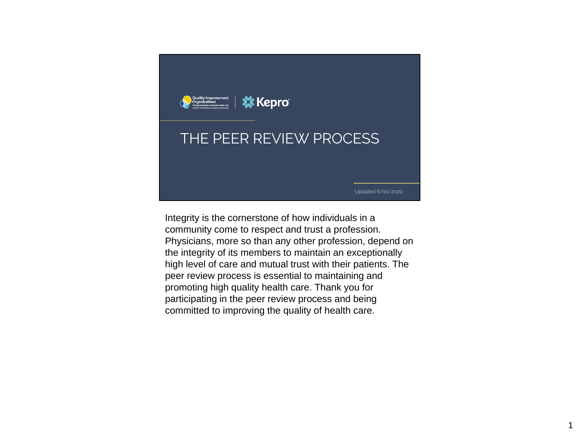

Integrity is the cornerstone of how individuals in a community come to respect and trust a profession. Physicians, more so than any other profession, depend on the integrity of its members to maintain an exceptionally high level of care and mutual trust with their patients. The peer review process is essential to maintaining and promoting high quality health care. Thank you for participating in the peer review process and being committed to improving the quality of health care.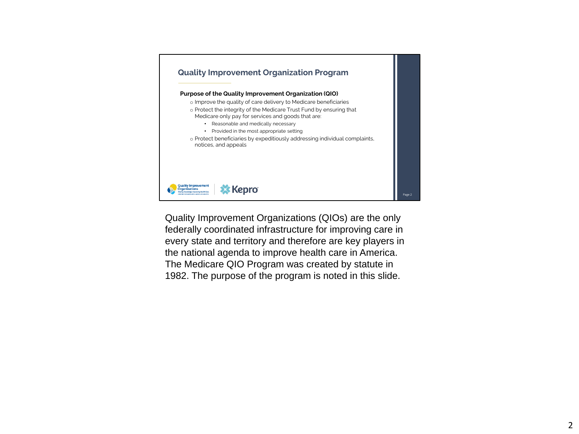

Quality Improvement Organizations (QIOs) are the only federally coordinated infrastructure for improving care in every state and territory and therefore are key players in the national agenda to improve health care in America. The Medicare QIO Program was created by statute in 1982. The purpose of the program is noted in this slide.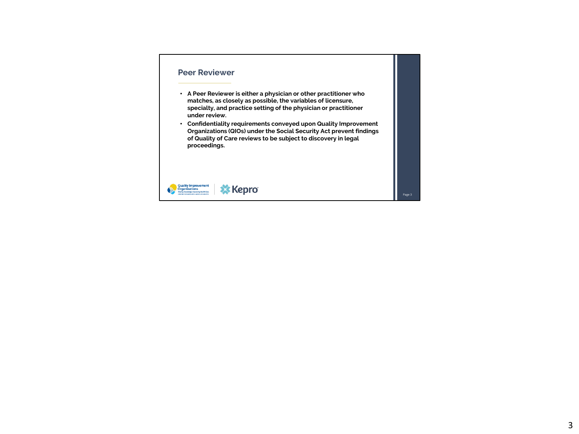### **Peer Reviewer**

- **A Peer Reviewer is either a physician or other practitioner who matches, as closely as possible, the variables of licensure, specialty, and practice setting of the physician or practitioner under review.**
- **Confidentiality requirements conveyed upon Quality Improvement Organizations (QIOs) under the Social Security Act prevent findings of Quality of Care reviews to be subject to discovery in legal proceedings.**

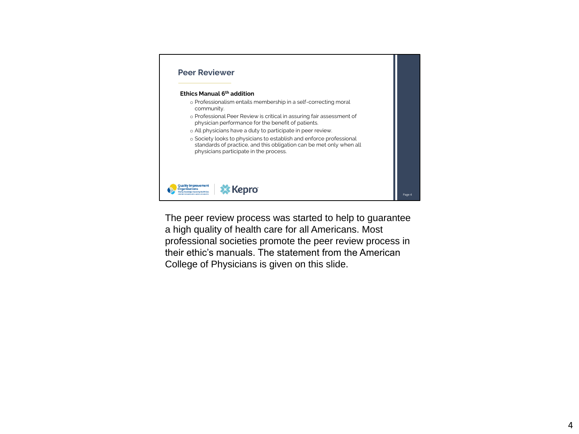

The peer review process was started to help to guarantee a high quality of health care for all Americans. Most professional societies promote the peer review process in their ethic's manuals. The statement from the American College of Physicians is given on this slide.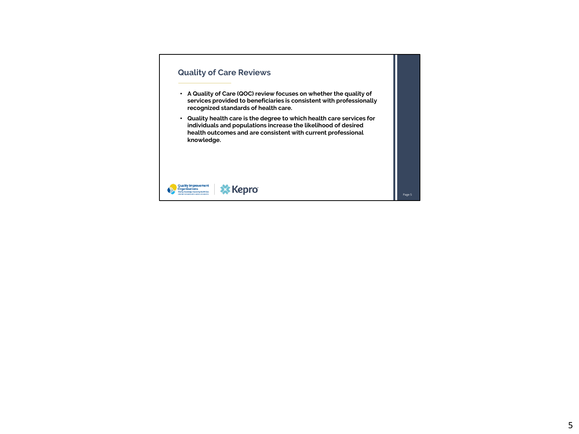# **Quality of Care Reviews**

- **A Quality of Care (QOC) review focuses on whether the quality of services provided to beneficiaries is consistent with professionally recognized standards of health care.**
- **Quality health care is the degree to which health care services for individuals and populations increase the likelihood of desired health outcomes and are consistent with current professional knowledge.**

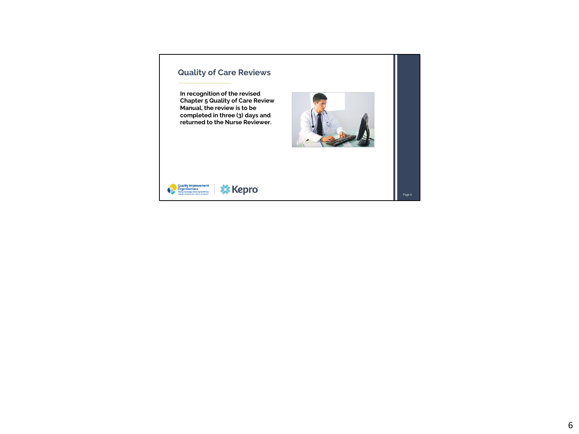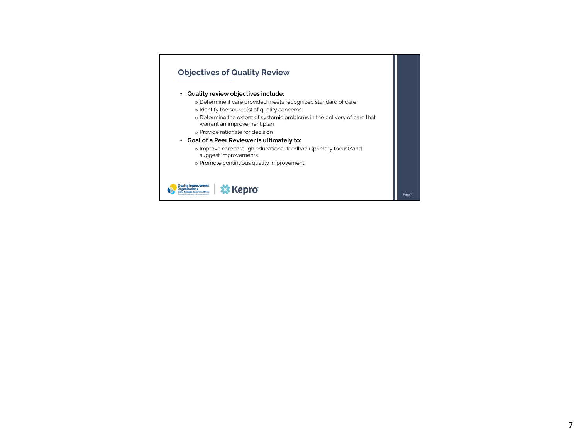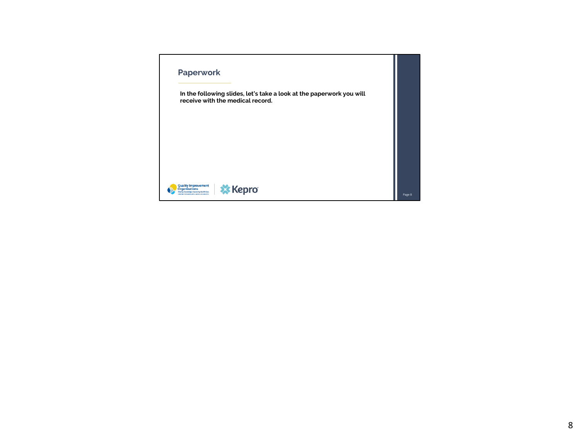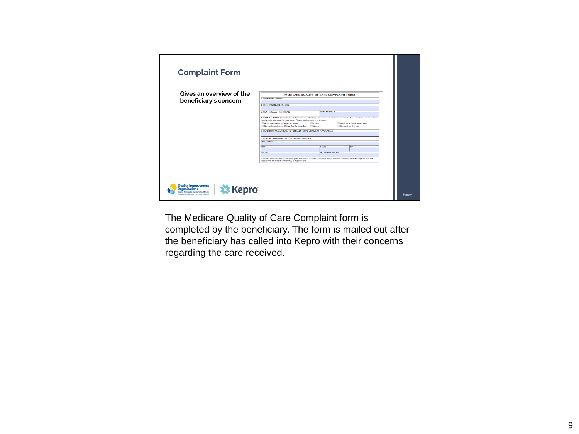| 1. BENEFICIARY NAME-<br>beneficiary's concern<br>2. MEDICARE NUMBER (HICK):<br><b>DATE OF BIRTH:</b><br>3. SEX: I MALE I FEMALE<br>How would you describe your race? Please mark one or more boxes.<br>American Indian or Alaska Native<br><b>White</b><br>Black or African American<br>Asian<br>Native Hawaiian or Other Pacific Islander<br>Hispanic or Latino<br>5. BENEFICIARY'S AUTHORIZED REPRESENTATIVE'S NAME OF APPLICABLE):<br><b>6. CONTACT INFORMATION FOR PRIMARY CONTACT:</b><br><b>STREET/APT.</b> | 4. RACE/ETHNICITY (Completion of this section is voluntary) How would you describe your race? Please mark one or more boxes. | CTY<br><b>STATE</b><br>ZIP | PHONE<br><b>ALTERNATE PHONE</b>                |
|-------------------------------------------------------------------------------------------------------------------------------------------------------------------------------------------------------------------------------------------------------------------------------------------------------------------------------------------------------------------------------------------------------------------------------------------------------------------------------------------------------------------|------------------------------------------------------------------------------------------------------------------------------|----------------------------|------------------------------------------------|
|                                                                                                                                                                                                                                                                                                                                                                                                                                                                                                                   |                                                                                                                              |                            |                                                |
|                                                                                                                                                                                                                                                                                                                                                                                                                                                                                                                   |                                                                                                                              |                            |                                                |
|                                                                                                                                                                                                                                                                                                                                                                                                                                                                                                                   |                                                                                                                              |                            |                                                |
|                                                                                                                                                                                                                                                                                                                                                                                                                                                                                                                   |                                                                                                                              |                            |                                                |
|                                                                                                                                                                                                                                                                                                                                                                                                                                                                                                                   |                                                                                                                              |                            |                                                |
|                                                                                                                                                                                                                                                                                                                                                                                                                                                                                                                   |                                                                                                                              |                            |                                                |
|                                                                                                                                                                                                                                                                                                                                                                                                                                                                                                                   |                                                                                                                              |                            |                                                |
|                                                                                                                                                                                                                                                                                                                                                                                                                                                                                                                   |                                                                                                                              |                            |                                                |
|                                                                                                                                                                                                                                                                                                                                                                                                                                                                                                                   |                                                                                                                              |                            |                                                |
|                                                                                                                                                                                                                                                                                                                                                                                                                                                                                                                   |                                                                                                                              |                            |                                                |
|                                                                                                                                                                                                                                                                                                                                                                                                                                                                                                                   |                                                                                                                              |                            |                                                |
|                                                                                                                                                                                                                                                                                                                                                                                                                                                                                                                   |                                                                                                                              |                            |                                                |
|                                                                                                                                                                                                                                                                                                                                                                                                                                                                                                                   |                                                                                                                              |                            |                                                |
| 7. Briefly Describe the incident or your concerns: Include dates and times, persons involved, and description of what                                                                                                                                                                                                                                                                                                                                                                                             |                                                                                                                              |                            |                                                |
|                                                                                                                                                                                                                                                                                                                                                                                                                                                                                                                   |                                                                                                                              |                            |                                                |
|                                                                                                                                                                                                                                                                                                                                                                                                                                                                                                                   |                                                                                                                              |                            |                                                |
|                                                                                                                                                                                                                                                                                                                                                                                                                                                                                                                   |                                                                                                                              |                            | happened. Include attachments, if appropriate. |

The Medicare Quality of Care Complaint form is completed by the beneficiary. The form is mailed out after the beneficiary has called into Kepro with their concerns regarding the care received.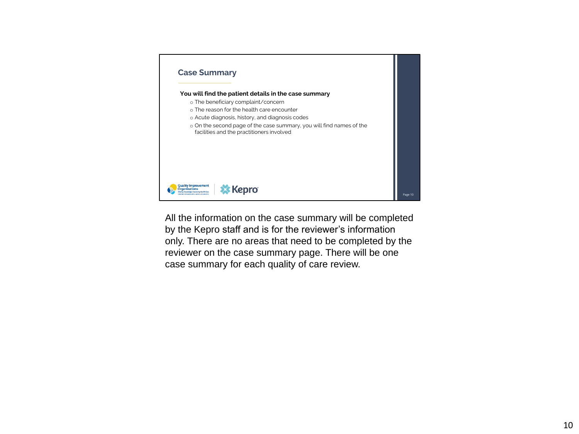

All the information on the case summary will be completed by the Kepro staff and is for the reviewer's information only. There are no areas that need to be completed by the reviewer on the case summary page. There will be one case summary for each quality of care review.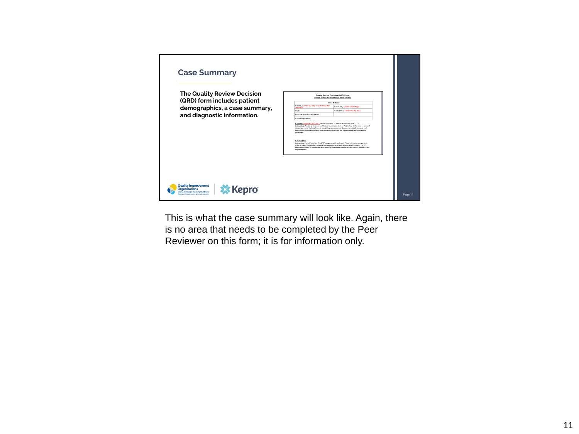

This is what the case summary will look like. Again, there is no area that needs to be completed by the Peer Reviewer on this form; it is for information only.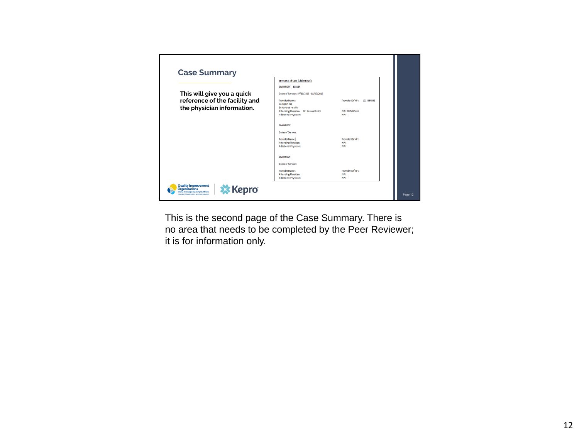|                                                             | <b>EPISODES of Care (Claim Keys):</b>                                  |                                  |
|-------------------------------------------------------------|------------------------------------------------------------------------|----------------------------------|
|                                                             | <b>CLAIM KEY: 123114</b>                                               |                                  |
| This will give you a quick                                  | Dates of Service: 07/30/2015 -08/07/2015                               |                                  |
| reference of the facility and<br>the physician information. | Provider Name:<br>Pumpkin Pie<br>Behavioral Health                     | Provider ID/NPI: 1213454862      |
|                                                             | Attending Physician: Dr. Samuel Smith<br>Additional Physician:         | NPI: 2135435465<br>NPI:          |
|                                                             | <b>CLAIM KEY:</b>                                                      |                                  |
|                                                             | Dates of Service:                                                      |                                  |
|                                                             | Provider Name:<br><b>Attending Physician:</b><br>Additional Physician: | Provider ID/NPI:<br>NPI:<br>NPI: |
|                                                             | <b>CLAIM KEY:</b>                                                      |                                  |
|                                                             | Dates of Service:                                                      |                                  |
|                                                             | Provider Name:<br>Attending Physician:<br><b>Additional Physician:</b> | Provider ID/NPI:<br>NPI:<br>NPI: |

This is the second page of the Case Summary. There is no area that needs to be completed by the Peer Reviewer; it is for information only.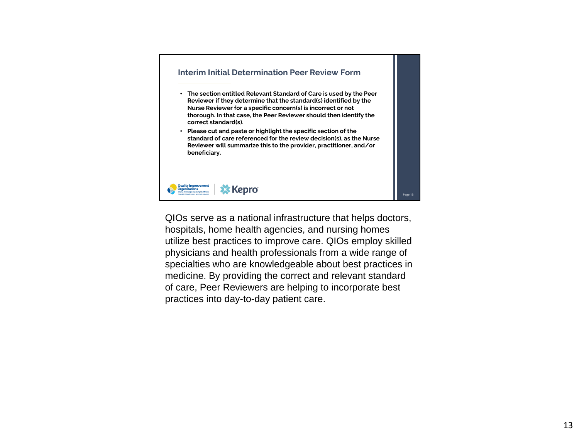

QIOs serve as a national infrastructure that helps doctors, hospitals, home health agencies, and nursing homes utilize best practices to improve care. QIOs employ skilled physicians and health professionals from a wide range of specialties who are knowledgeable about best practices in medicine. By providing the correct and relevant standard of care, Peer Reviewers are helping to incorporate best practices into day-to-day patient care.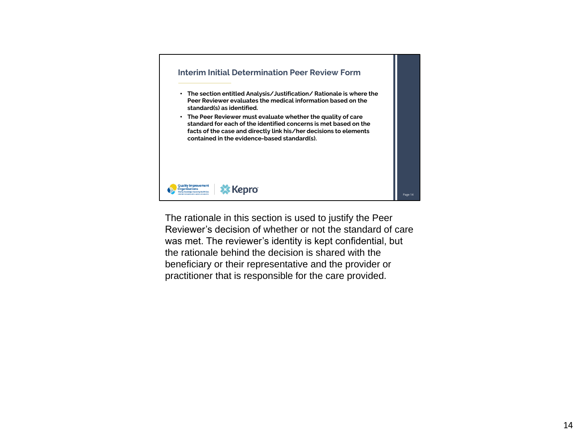

The rationale in this section is used to justify the Peer Reviewer's decision of whether or not the standard of care was met. The reviewer's identity is kept confidential, but the rationale behind the decision is shared with the beneficiary or their representative and the provider or practitioner that is responsible for the care provided.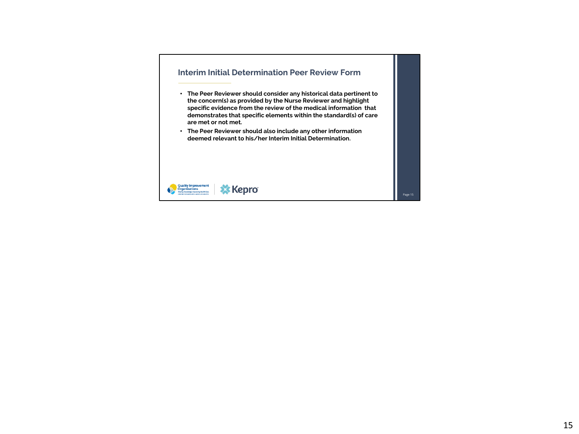# **Interim Initial Determination Peer Review Form**

- **The Peer Reviewer should consider any historical data pertinent to the concern(s) as provided by the Nurse Reviewer and highlight specific evidence from the review of the medical information that demonstrates that specific elements within the standard(s) of care are met or not met.**
- **The Peer Reviewer should also include any other information deemed relevant to his/her Interim Initial Determination.**

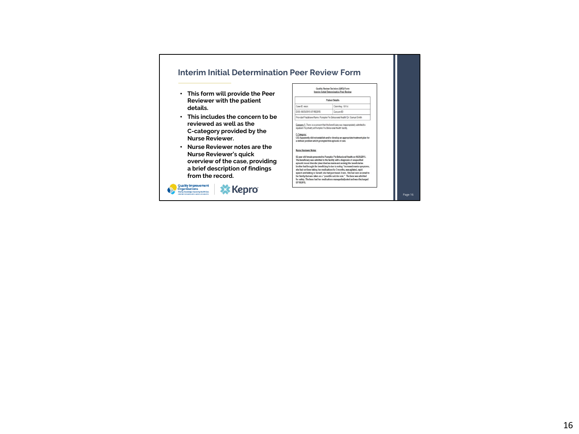## **Interim Initial Determination Peer Review Form**

- **This form will provide the Peer Reviewer with the patient details.**
- **This includes the concern to be reviewed as well as the C-category provided by the Nurse Reviewer.**
- **Nurse Reviewer notes are the Nurse Reviewer's quick overview of the case, providing a brief description of findings from the record.**



|                                                                                                                                                 | Quality Review Decision (QRE)) Form<br>Interim Initial Determination Page Review                                                                                                                                                                                                                                                                                                                                                                                                                                                                                                |
|-------------------------------------------------------------------------------------------------------------------------------------------------|---------------------------------------------------------------------------------------------------------------------------------------------------------------------------------------------------------------------------------------------------------------------------------------------------------------------------------------------------------------------------------------------------------------------------------------------------------------------------------------------------------------------------------------------------------------------------------|
|                                                                                                                                                 | <b>Patient Details</b>                                                                                                                                                                                                                                                                                                                                                                                                                                                                                                                                                          |
| Case ID want                                                                                                                                    | Claim Key: 12114                                                                                                                                                                                                                                                                                                                                                                                                                                                                                                                                                                |
| DOS: 06/25/2015.07/18/2015                                                                                                                      | Concern ID                                                                                                                                                                                                                                                                                                                                                                                                                                                                                                                                                                      |
|                                                                                                                                                 | Provider/Practitioner Name: Pumpkin Pie Behavioral Health/ Dr. Samuel Smith                                                                                                                                                                                                                                                                                                                                                                                                                                                                                                     |
| inpatient Psychiatry at Pumpler Pie Behavioral Health facility.<br><b>C.Category:</b><br>a defined problem which prompted this episode of care. | Concern 1: There is a concern that the beneficiary was inappropriately admitted to<br>C03 Apparently did not establish and/or develop an appropriate treatment plan for                                                                                                                                                                                                                                                                                                                                                                                                         |
|                                                                                                                                                 |                                                                                                                                                                                                                                                                                                                                                                                                                                                                                                                                                                                 |
| Nurse Reviewer Notes:                                                                                                                           | 66 year old female presented to Pumpkin Pie Behavioral Health on 06/25/2015.<br>The beneficiary was admitted to the facility with a diagnosis of unspecified<br>episodic mood disorder (described as mania and anxiety) the beneficiaries<br>brother had brought the beneficiary in due to noting "increased mania symptoms.<br>she had not been taking her medications for 3 months, was agitated, rapid<br>speech and talking to herself, she had purchased 2 cars. She had sent an email to<br>her family that was taken as a "possible suicide note." The bene was admitted |

Page 16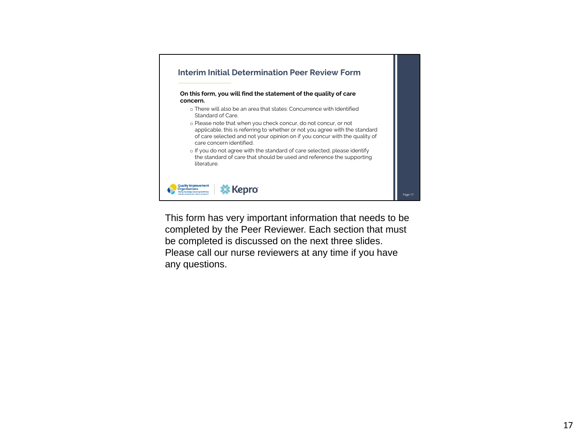

This form has very important information that needs to be completed by the Peer Reviewer. Each section that must be completed is discussed on the next three slides. Please call our nurse reviewers at any time if you have any questions.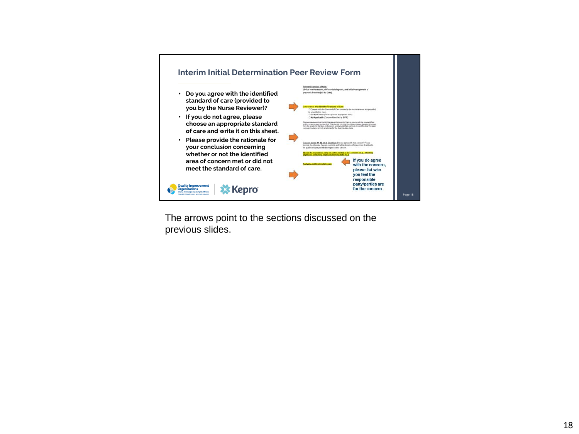

The arrows point to the sections discussed on the previous slides.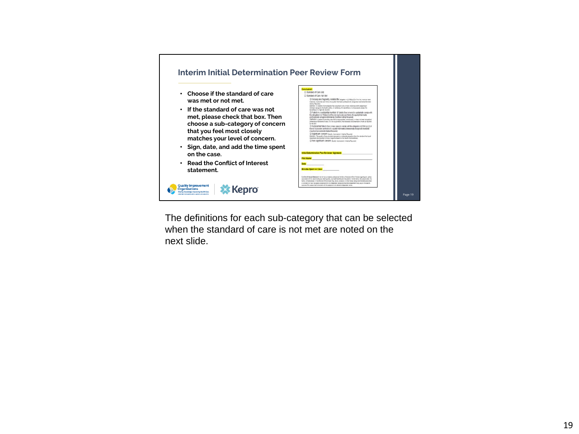

The definitions for each sub-category that can be selected when the standard of care is not met are noted on the next slide.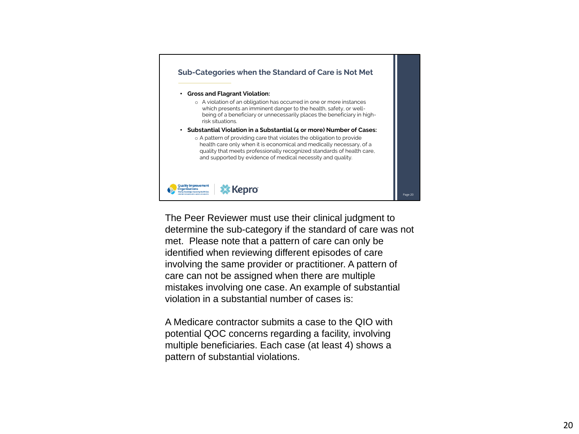

The Peer Reviewer must use their clinical judgment to determine the sub-category if the standard of care was not met. Please note that a pattern of care can only be identified when reviewing different episodes of care involving the same provider or practitioner. A pattern of care can not be assigned when there are multiple mistakes involving one case. An example of substantial violation in a substantial number of cases is:

A Medicare contractor submits a case to the QIO with potential QOC concerns regarding a facility, involving multiple beneficiaries. Each case (at least 4) shows a pattern of substantial violations.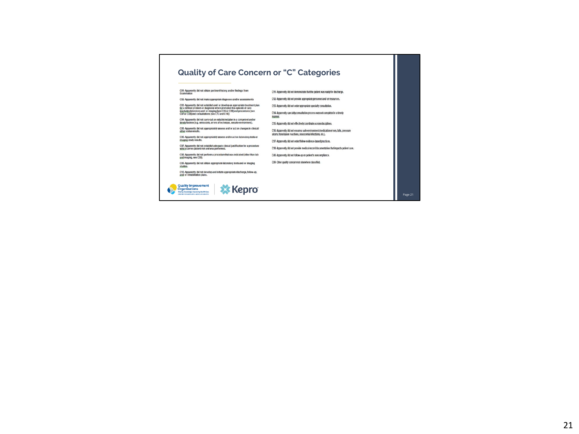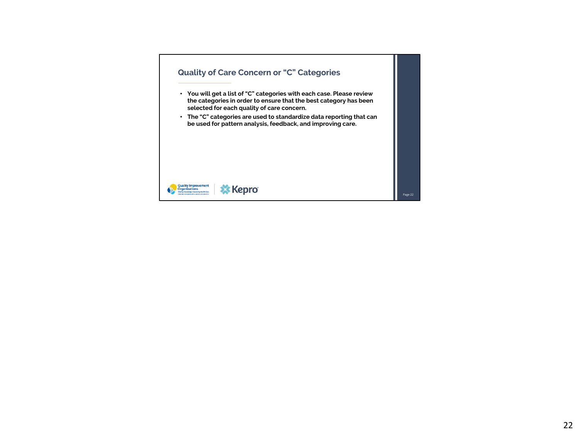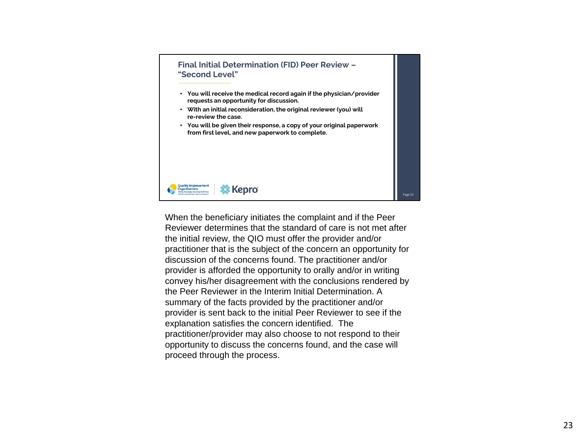

When the beneficiary initiates the complaint and if the Peer Reviewer determines that the standard of care is not met after the initial review, the QIO must offer the provider and/or practitioner that is the subject of the concern an opportunity for discussion of the concerns found. The practitioner and/or provider is afforded the opportunity to orally and/or in writing convey his/her disagreement with the conclusions rendered by the Peer Reviewer in the Interim Initial Determination. A summary of the facts provided by the practitioner and/or provider is sent back to the initial Peer Reviewer to see if the explanation satisfies the concern identified. The practitioner/provider may also choose to not respond to their opportunity to discuss the concerns found, and the case will proceed through the process.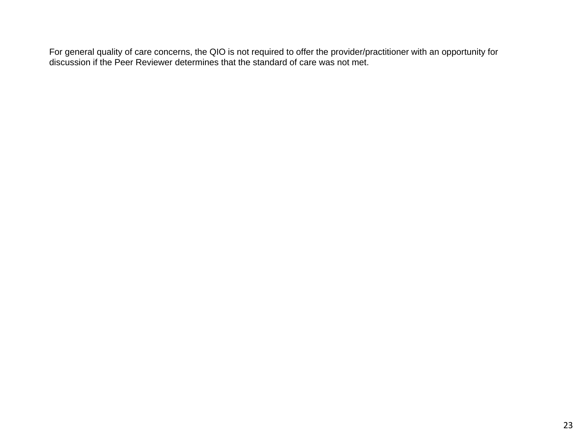For general quality of care concerns, the QIO is not required to offer the provider/practitioner with an opportunity for discussion if the Peer Reviewer determines that the standard of care was not met.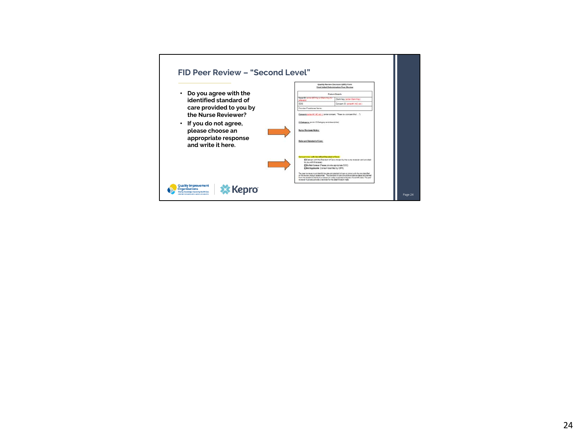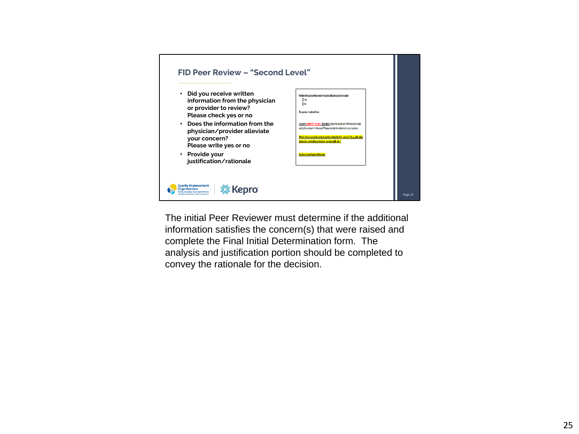

The initial Peer Reviewer must determine if the additional information satisfies the concern(s) that were raised and complete the Final Initial Determination form. The analysis and justification portion should be completed to convey the rationale for the decision.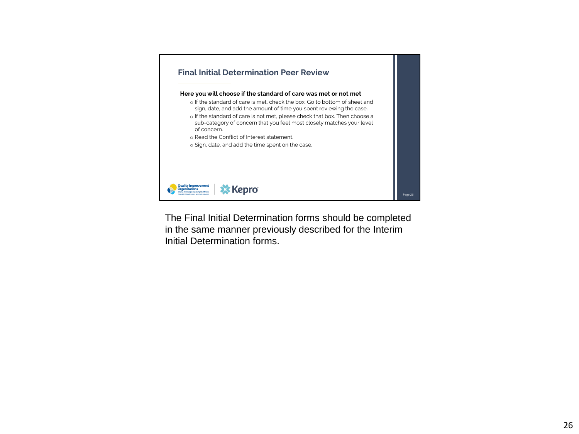

The Final Initial Determination forms should be completed in the same manner previously described for the Interim Initial Determination forms.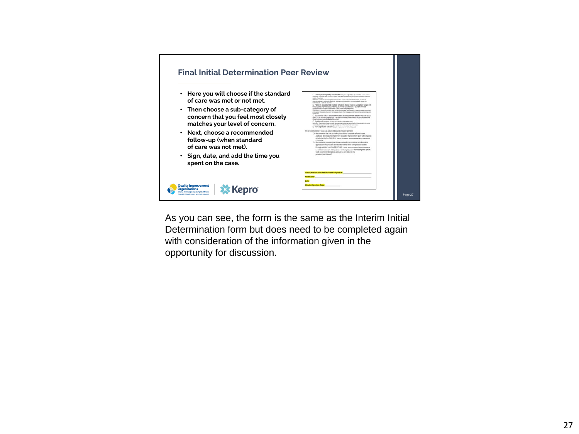

As you can see, the form is the same as the Interim Initial Determination form but does need to be completed again with consideration of the information given in the opportunity for discussion.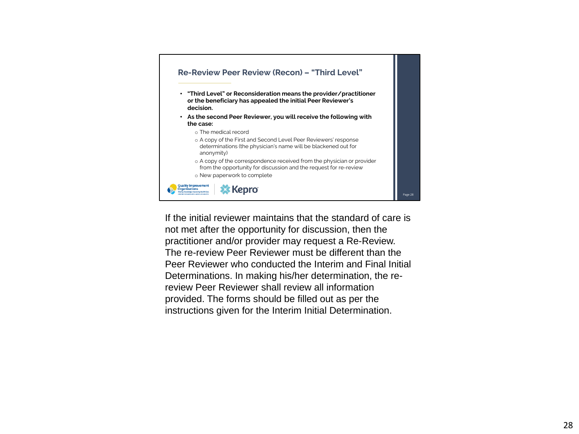

If the initial reviewer maintains that the standard of care is not met after the opportunity for discussion, then the practitioner and/or provider may request a Re-Review. The re-review Peer Reviewer must be different than the Peer Reviewer who conducted the Interim and Final Initial Determinations. In making his/her determination, the rereview Peer Reviewer shall review all information provided. The forms should be filled out as per the instructions given for the Interim Initial Determination.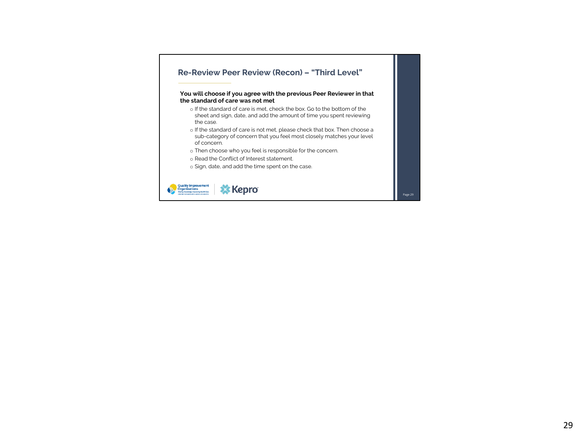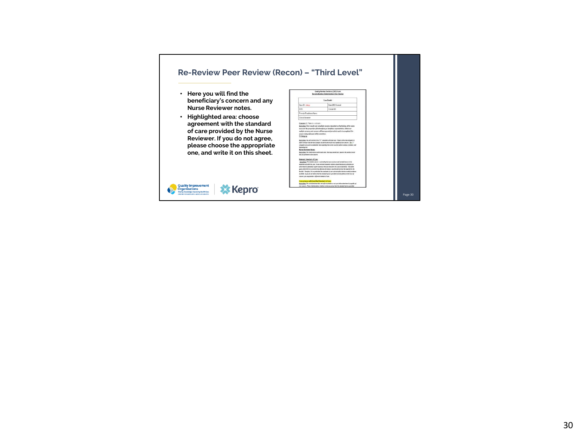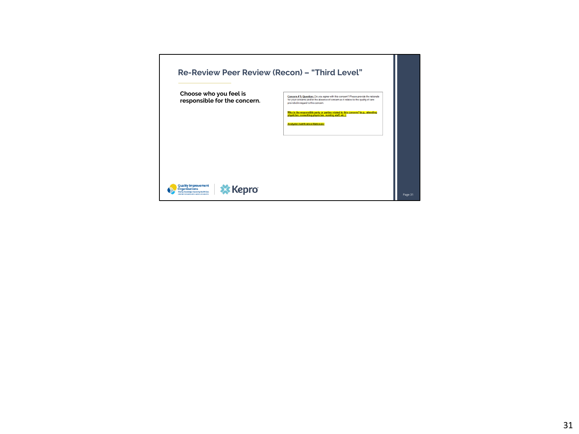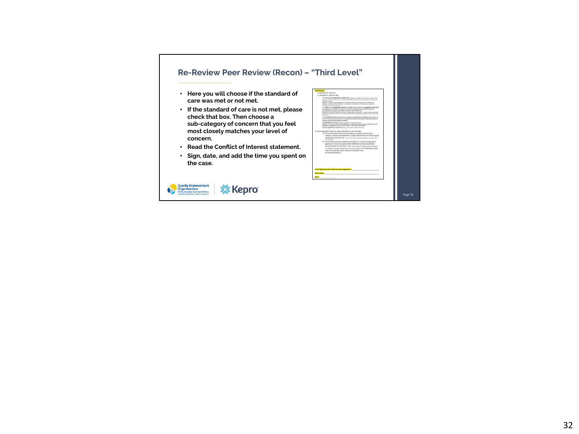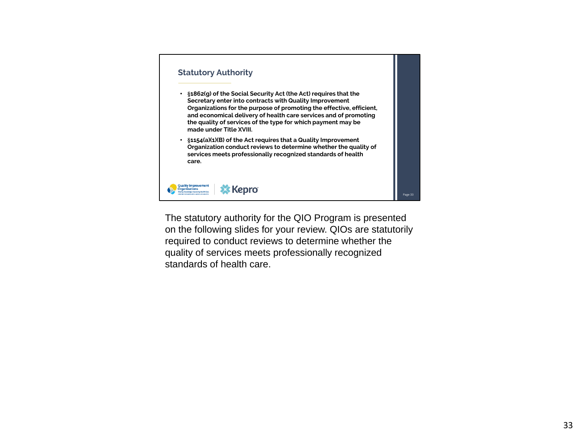

The statutory authority for the QIO Program is presented on the following slides for your review. QIOs are statutorily required to conduct reviews to determine whether the quality of services meets professionally recognized standards of health care.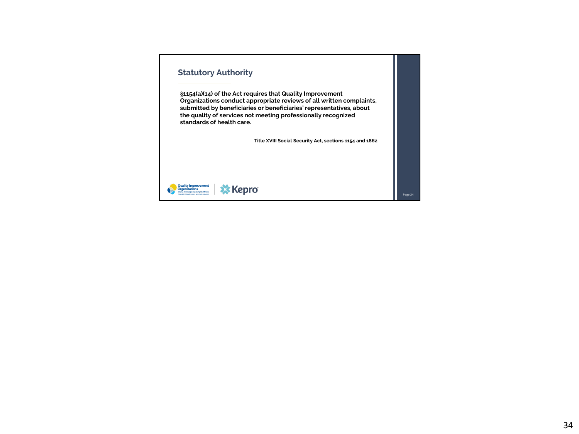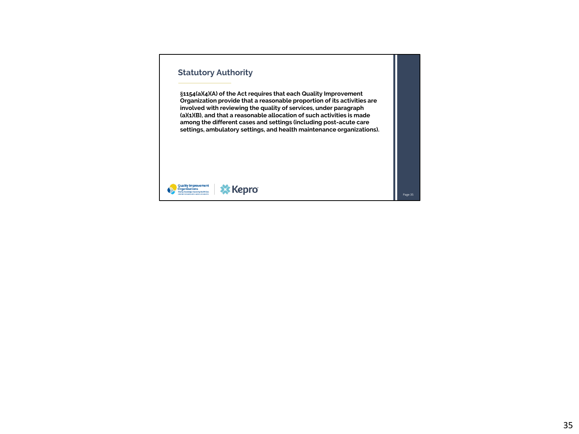#### **Statutory Authority**

**§1154(a)(4)(A) of the Act requires that each Quality Improvement Organization provide that a reasonable proportion of its activities are involved with reviewing the quality of services, under paragraph (a)(1)(B), and that a reasonable allocation of such activities is made among the different cases and settings (including post-acute care settings, ambulatory settings, and health maintenance organizations).**

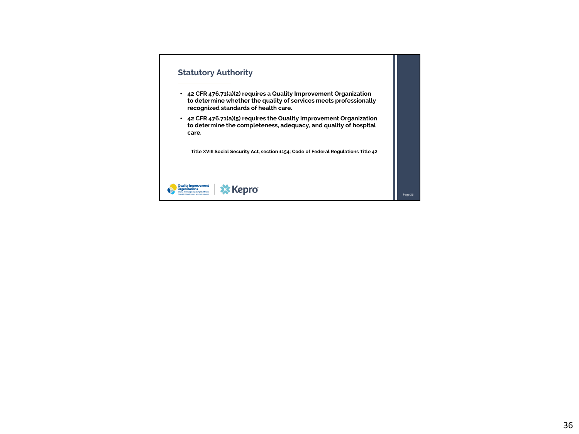## **Statutory Authority**

- **42 CFR 476.71(a)(2) requires a Quality Improvement Organization to determine whether the quality of services meets professionally recognized standards of health care.**
- **42 CFR 476.71(a)(5) requires the Quality Improvement Organization to determine the completeness, adequacy, and quality of hospital care.**

**Title XVIII Social Security Act, section 1154; Code of Federal Regulations Title 42**



Page 36